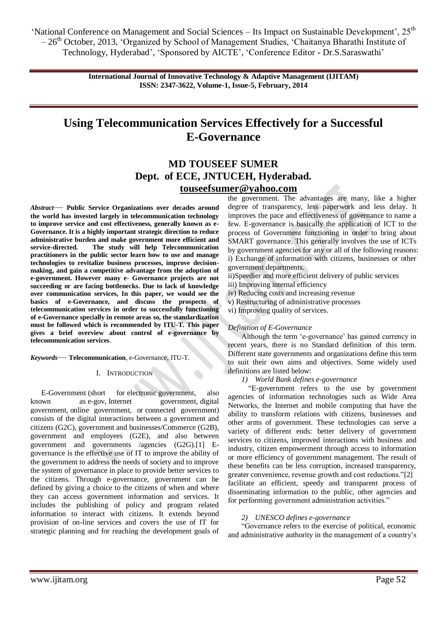> **International Journal of Innovative Technology & Adaptive Management (IJITAM) ISSN: 2347-3622, Volume-1, Issue-5, February, 2014**

# **Using Telecommunication Services Effectively for a Successful E-Governance**

# **MD TOUSEEF SUMER Dept. of ECE, JNTUCEH, Hyderabad. [touseefsumer@yahoo.com](mailto:touseefsumer@yahoo.com)**

*Abstract*— **Public Service Organizations over decades around the world has invested largely in telecommunication technology to improve service and cost effectiveness, generally known as e-Governance. It is a highly important strategic direction to reduce administrative burden and make government more efficient and service-directed. The study will help Telecommunication practitioners in the public sector learn how to use and manage technologies to revitalize business processes, improve decisionmaking, and gain a competitive advantage from the adoption of e-government. However many e- Governance projects are not succeeding or are facing bottlenecks. Due to lack of knowledge over communication services, In this paper, we would see the basics of e-Governance, and discuss the prospects of telecommunication services in order to successfully functioning of e-Governance specially in remote areas so, the standardization must be followed which is recommended by ITU-T. This paper gives a brief overview about control of e-governance by telecommunication services**.

*Keywords*— **Telecommunication**, e-Governance, ITU-T.

#### I. INTRODUCTION

E-Government (short for [electronic](http://en.wikipedia.org/wiki/Electronics) [government,](http://en.wikipedia.org/wiki/Government) also known as e-gov, Internet government, digital government, online government, or connected government) consists of the digital interactions between a government and citizens (G2C), government and businesses/Commerce (G2B), government and employees (G2E), and also between government and governments /agencies (G2G).[1] Egovernance is the effective use of IT to improve the ability of the government to address the needs of society and to improve the system of governance in place to provide better services to the citizens. Through e-governance, government can be defined by giving a choice to the citizens of when and where they can access government information and services. It includes the publishing of policy and program related information to interact with citizens. It extends beyond provision of on-line services and covers the use of IT for strategic planning and for reaching the development goals of the government. The advantages are many, like a higher degree of transparency, less paperwork and less delay. It improves the pace and effectiveness of governance to name a few. E-governance is basically the application of ICT to the process of Government functioning in order to bring about SMART governance. This generally involves the use of ICTs by government agencies for any or all of the following reasons: i) Exchange of information with citizens, businesses or other government departments.

ii)Speedier and more efficient delivery of public services

iii) Improving internal efficiency

iv) Reducing costs and increasing revenue

v) Restructuring of administrative processes

vi) Improving quality of services.

#### *Definition of E-Governance*

Although the term 'e-governance' has gained currency in recent years, there is no Standard definition of this term. Different state governments and organizations define this term to suit their own aims and objectives. Some widely used definitions are listed below:

#### *1) World Bank defines e-governance*

 ―E-government refers to the use by government agencies of information technologies such as Wide Area Networks, the Internet and mobile computing that have the ability to transform relations with citizens, businesses and other arms of government. These technologies can serve a variety of different ends: better delivery of government services to citizens, improved interactions with business and industry, citizen empowerment through access to information or more efficiency of government management. The result of these benefits can be less corruption, increased transparency, greater convenience, revenue growth and cost reductions."[2] facilitate an efficient, speedy and transparent process of disseminating information to the public, other agencies and for performing government administration activities."

#### *2) UNESCO defines e-governance*

―Governance refers to the exercise of political, economic and administrative authority in the management of a country's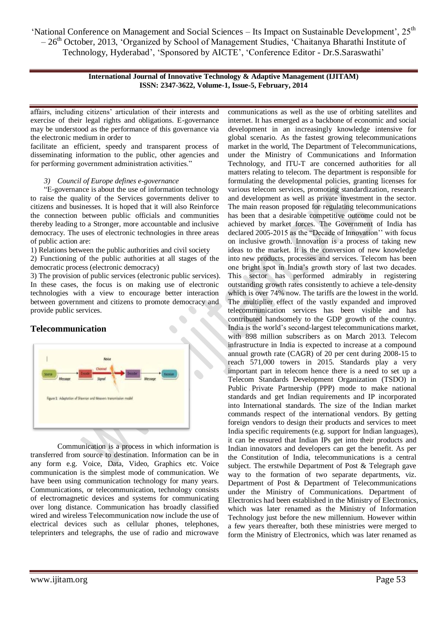> **International Journal of Innovative Technology & Adaptive Management (IJITAM) ISSN: 2347-3622, Volume-1, Issue-5, February, 2014**

affairs, including citizens' articulation of their interests and exercise of their legal rights and obligations. E-governance may be understood as the performance of this governance via the electronic medium in order to

facilitate an efficient, speedy and transparent process of disseminating information to the public, other agencies and for performing government administration activities."

### *3) Council of Europe defines e-governance*

―E-governance is about the use of information technology to raise the quality of the Services governments deliver to citizens and businesses. It is hoped that it will also Reinforce the connection between public officials and communities thereby leading to a Stronger, more accountable and inclusive democracy. The uses of electronic technologies in three areas of public action are:

1) Relations between the public authorities and civil society

2) Functioning of the public authorities at all stages of the democratic process (electronic democracy)

3) The provision of public services (electronic public services). In these cases, the focus is on making use of electronic technologies with a view to encourage better interaction between government and citizens to promote democracy and provide public services.

## **Telecommunication**



Communication is a process in which information is transferred from source to destination. Information can be in any form e.g. Voice, Data, Video, Graphics etc. Voice communication is the simplest mode of communication. We have been using communication technology for many years. Communications, or telecommunication, technology consists of electromagnetic devices and systems for communicating over long distance. Communication has broadly classified wired and wireless Telecommunication now include the use of electrical devices such as cellular phones, telephones, teleprinters and telegraphs, the use of radio and microwave

communications as well as the use of orbiting satellites and internet. It has emerged as a backbone of economic and social development in an increasingly knowledge intensive for global scenario. As the fastest growing telecommunications market in the world, The Department of Telecommunications, under the Ministry of Communications and Information Technology, and ITU-T are concerned authorities for all matters relating to telecom. The department is responsible for formulating the developmental policies, granting licenses for various telecom services, promoting standardization, research and development as well as private investment in the sector. The main reason proposed for regulating telecommunications has been that a desirable competitive outcome could not be achieved by market forces. The Government of India has declared 2005-2015 as the "Decade of Innovation" with focus on inclusive growth. Innovation is a process of taking new ideas to the market. It is the conversion of new knowledge into new products, processes and services. Telecom has been one bright spot in India's growth story of last two decades. This sector has performed admirably in registering outstanding growth rates consistently to achieve a tele-density which is over 74% now. The tariffs are the lowest in the world. The multiplier effect of the vastly expanded and improved telecommunication services has been visible and has contributed handsomely to the GDP growth of the country. India is the world's second-largest telecommunications market, with 898 million subscribers as on March 2013. Telecom infrastructure in India is expected to increase at a compound annual growth rate (CAGR) of 20 per cent during 2008-15 to reach 571,000 towers in 2015. Standards play a very important part in telecom hence there is a need to set up a Telecom Standards Development Organization (TSDO) in Public Private Partnership (PPP) mode to make national standards and get Indian requirements and IP incorporated into International standards. The size of the Indian market commands respect of the international vendors. By getting foreign vendors to design their products and services to meet India specific requirements (e.g. support for Indian languages), it can be ensured that Indian IPs get into their products and Indian innovators and developers can get the benefit. As per the Constitution of India, telecommunications is a central subject. The erstwhile Department of Post & Telegraph gave way to the formation of two separate departments, viz. Department of Post & Department of Telecommunications under the Ministry of Communications. Department of Electronics had been established in the Ministry of Electronics, which was later renamed as the Ministry of Information Technology just before the new millennium. However within a few years thereafter, both these ministries were merged to form the Ministry of Electronics, which was later renamed as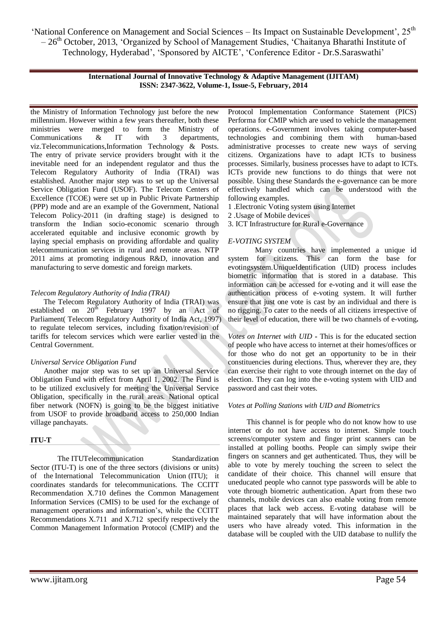> **International Journal of Innovative Technology & Adaptive Management (IJITAM) ISSN: 2347-3622, Volume-1, Issue-5, February, 2014**

the Ministry of Information Technology just before the new millennium. However within a few years thereafter, both these ministries were merged to form the Ministry of Communications & IT with 3 departments, viz.Telecommunications,Information Technology & Posts. The entry of private service providers brought with it the inevitable need for an independent regulator and thus the Telecom Regulatory Authority of India (TRAI) was established. Another major step was to set up the Universal Service Obligation Fund (USOF). The Telecom Centers of Excellence (TCOE) were set up in Public Private Partnership (PPP) mode and are an example of the Government, National Telecom Policy-2011 (in drafting stage) is designed to transform the Indian socio-economic scenario through accelerated equitable and inclusive economic growth by laying special emphasis on providing affordable and quality telecommunication services in rural and remote areas. NTP 2011 aims at promoting indigenous R&D, innovation and manufacturing to serve domestic and foreign markets.

#### *Telecom Regulatory Authority of India (TRAI)*

 The Telecom Regulatory Authority of India (TRAI) was established on  $20^{th}$  February 1997 by an Act of Parliament( Telecom Regulatory Authority of India Act, 1997) to regulate telecom services, including fixation/revision of tariffs for telecom services which were earlier vested in the Central Government.

#### *Universal Service Obligation Fund*

 Another major step was to set up an Universal Service Obligation Fund with effect from April 1, 2002. The Fund is to be utilized exclusively for meeting the Universal Service Obligation, specifically in the rural areas. National optical fiber network (NOFN) is going to be the biggest initiative from USOF to provide broadband access to 250,000 Indian village panchayats.

### **ITU-T**

The ITUTelecommunication Standardization Sector (ITU-T) is one of the three sectors (divisions or units) of the [International Telecommunication Union](http://en.wikipedia.org/wiki/International_Telecommunication_Union) (ITU); it coordinates standards for [telecommunications.](http://en.wikipedia.org/wiki/Telecommunications) The CCITT Recommendation X.710 defines the Common Management Information Services (CMIS) to be used for the exchange of management operations and information's, while the CCITT Recommendations X.711 and X.712 specify respectively the Common Management Information Protocol (CMIP) and the

Protocol Implementation Conformance Statement (PICS) Performa for CMIP which are used to vehicle the management operations. e-Government involves taking computer-based technologies and combining them with human-based administrative processes to create new ways of serving citizens. Organizations have to adapt ICTs to business processes. Similarly, business processes have to adapt to ICTs. ICTs provide new functions to do things that were not possible. Using these Standards the e-governance can be more effectively handled which can be understood with the following examples.

- 1 .Electronic Voting system using Internet
- 2 .Usage of Mobile devices
- 3. ICT Infrastructure for Rural e-Governance

#### *E-VOTING SYSTEM*

Many countries have implemented a unique id system for citizens. This can form the base for evotingsystem.UniqueIdentification (UID) process includes biometric information that is stored in a database. This information can be accessed for e-voting and it will ease the authentication process of e-voting system. It will further ensure that just one vote is cast by an individual and there is no rigging. To cater to the needs of all citizens irrespective of their level of education, there will be two channels of e-voting**.** 

*Votes on Internet with UID* **-** This is for the educated section of people who have access to internet at their homes/offices or for those who do not get an opportunity to be in their constituencies during elections. Thus, wherever they are, they can exercise their right to vote through internet on the day of election. They can log into the e-voting system with UID and password and cast their votes.

#### *Votes at Polling Stations with UID and Biometrics*

This channel is for people who do not know how to use internet or do not have access to internet. Simple touch screens/computer system and finger print scanners can be installed at polling booths. People can simply swipe their fingers on scanners and get authenticated. Thus, they will be able to vote by merely touching the screen to select the candidate of their choice. This channel will ensure that uneducated people who cannot type passwords will be able to vote through biometric authentication. Apart from these two channels, mobile devices can also enable voting from remote places that lack web access. E-voting database will be maintained separately that will have information about the users who have already voted. This information in the database will be coupled with the UID database to nullify the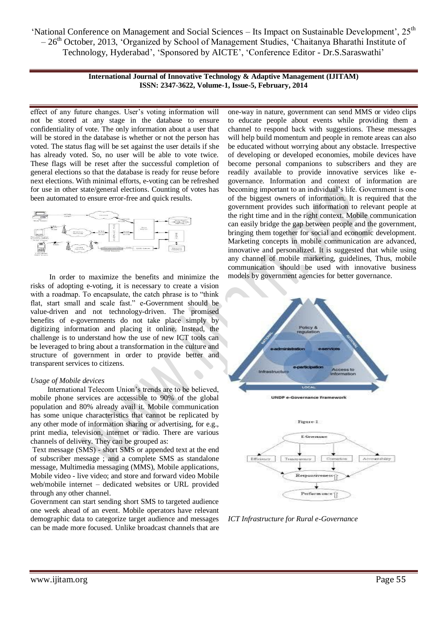> **International Journal of Innovative Technology & Adaptive Management (IJITAM) ISSN: 2347-3622, Volume-1, Issue-5, February, 2014**

effect of any future changes. User's voting information will not be stored at any stage in the database to ensure confidentiality of vote. The only information about a user that will be stored in the database is whether or not the person has voted. The status flag will be set against the user details if she has already voted. So, no user will be able to vote twice. These flags will be reset after the successful completion of general elections so that the database is ready for reuse before next elections. With minimal efforts, e-voting can be refreshed for use in other state/general elections. Counting of votes has been automated to ensure error-free and quick results.



 In order to maximize the benefits and minimize the risks of adopting e-voting, it is necessary to create a vision with a roadmap. To encapsulate, the catch phrase is to "think" flat, start small and scale fast." e-Government should be value-driven and not technology-driven. The promised benefits of e-governments do not take place simply by digitizing information and placing it online. Instead, the challenge is to understand how the use of new ICT tools can be leveraged to bring about a transformation in the culture and structure of government in order to provide better and transparent services to citizens.

#### *Usage of Mobile devices*

 International Telecom Union's trends are to be believed, mobile phone services are accessible to 90% of the global population and 80% already avail it. Mobile communication has some unique characteristics that cannot be replicated by any other mode of information sharing or advertising, for e.g., print media, television, internet or radio. There are various channels of delivery. They can be grouped as:

Text message (SMS) - short SMS or appended text at the end of subscriber message ; and a complete SMS as standalone message, Multimedia messaging (MMS), Mobile applications, Mobile video - live video; and store and forward video Mobile web/mobile internet – dedicated websites or URL provided through any other channel.

Government can start sending short SMS to targeted audience one week ahead of an event. Mobile operators have relevant demographic data to categorize target audience and messages can be made more focused. Unlike broadcast channels that are

one-way in nature, government can send MMS or video clips to educate people about events while providing them a channel to respond back with suggestions. These messages will help build momentum and people in remote areas can also be educated without worrying about any obstacle. Irrespective of developing or developed economies, mobile devices have become personal companions to subscribers and they are readily available to provide innovative services like egovernance. Information and context of information are becoming important to an individual's life. Government is one of the biggest owners of information. It is required that the government provides such information to relevant people at the right time and in the right context. Mobile communication can easily bridge the gap between people and the government, bringing them together for social and economic development. Marketing concepts in mobile communication are advanced, innovative and personalized. It is suggested that while using any channel of mobile marketing, guidelines, Thus, mobile communication should be used with innovative business models by government agencies for better governance.



*ICT Infrastructure for Rural e-Governance*